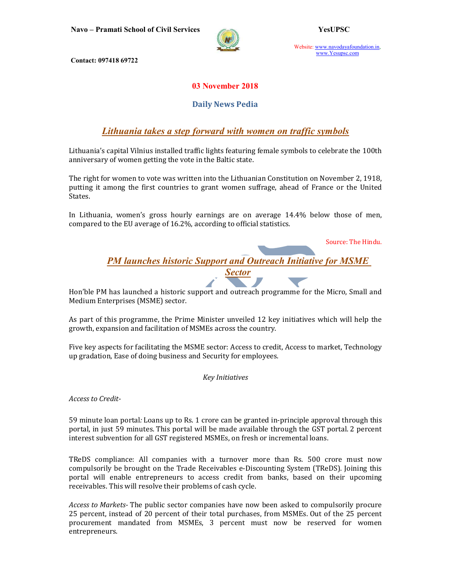Navo – Pramati School of Civil Services YesUPSC



Website: www.navodayafoundation.in, www.Yesupsc.com

Contact: 097418 69722

### 03 November 2018

#### Daily News Pedia

## Lithuania takes a step forward with women on traffic symbols

Lithuania's capital Vilnius installed traffic lights featuring female symbols to celebrate the 100th anniversary of women getting the vote in the Baltic state.

The right for women to vote was written into the Lithuanian Constitution on November 2, 1918, putting it among the first countries to grant women suffrage, ahead of France or the United States.

In Lithuania, women's gross hourly earnings are on average 14.4% below those of men, compared to the EU average of 16.2%, according to official statistics.

Source: The Hindu.

**PM launches historic Support and Outreach Initiative for MSME** Sector

Hon'ble PM has launched a historic support and outreach programme for the Micro, Small and Medium Enterprises (MSME) sector.

As part of this programme, the Prime Minister unveiled 12 key initiatives which will help the growth, expansion and facilitation of MSMEs across the country.

Five key aspects for facilitating the MSME sector: Access to credit, Access to market, Technology up gradation, Ease of doing business and Security for employees.

Key Initiatives

Access to Credit-

59 minute loan portal: Loans up to Rs. 1 crore can be granted in-principle approval through this portal, in just 59 minutes. This portal will be made available through the GST portal. 2 percent interest subvention for all GST registered MSMEs, on fresh or incremental loans.

TReDS compliance: All companies with a turnover more than Rs. 500 crore must now compulsorily be brought on the Trade Receivables e-Discounting System (TReDS). Joining this portal will enable entrepreneurs to access credit from banks, based on their upcoming receivables. This will resolve their problems of cash cycle.

Access to Markets- The public sector companies have now been asked to compulsorily procure 25 percent, instead of 20 percent of their total purchases, from MSMEs. Out of the 25 percent procurement mandated from MSMEs, 3 percent must now be reserved for women entrepreneurs.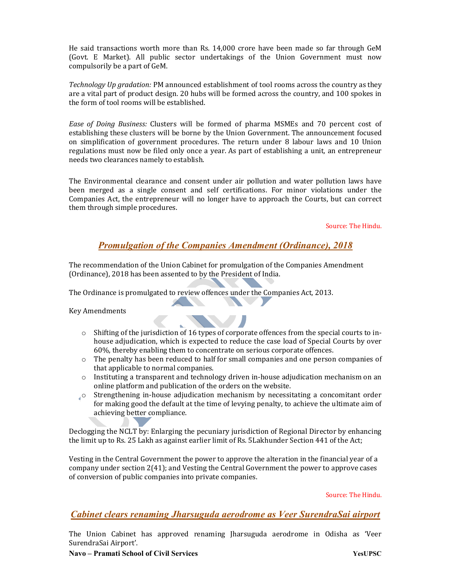He said transactions worth more than Rs. 14,000 crore have been made so far through GeM (Govt. E Market). All public sector undertakings of the Union Government must now compulsorily be a part of GeM.

Technology Up gradation: PM announced establishment of tool rooms across the country as they are a vital part of product design. 20 hubs will be formed across the country, and 100 spokes in the form of tool rooms will be established.

Ease of Doing Business: Clusters will be formed of pharma MSMEs and 70 percent cost of establishing these clusters will be borne by the Union Government. The announcement focused on simplification of government procedures. The return under 8 labour laws and 10 Union regulations must now be filed only once a year. As part of establishing a unit, an entrepreneur needs two clearances namely to establish.

The Environmental clearance and consent under air pollution and water pollution laws have been merged as a single consent and self certifications. For minor violations under the Companies Act, the entrepreneur will no longer have to approach the Courts, but can correct them through simple procedures.

Source: The Hindu.

## Promulgation of the Companies Amendment (Ordinance), 2018

The recommendation of the Union Cabinet for promulgation of the Companies Amendment (Ordinance), 2018 has been assented to by the President of India.

The Ordinance is promulgated to review offences under the Companies Act, 2013.

**CONTRACTOR** 

Key Amendments

 $\circ$  Shifting of the jurisdiction of 16 types of corporate offences from the special courts to inhouse adjudication, which is expected to reduce the case load of Special Courts by over 60%, thereby enabling them to concentrate on serious corporate offences.

**CONTRACTOR** 

- o The penalty has been reduced to half for small companies and one person companies of that applicable to normal companies.
- o Instituting a transparent and technology driven in-house adjudication mechanism on an online platform and publication of the orders on the website.
- o Strengthening in-house adjudication mechanism by necessitating a concomitant order for making good the default at the time of levying penalty, to achieve the ultimate aim of achieving better compliance.

Declogging the NCLT by: Enlarging the pecuniary jurisdiction of Regional Director by enhancing the limit up to Rs. 25 Lakh as against earlier limit of Rs. 5Lakhunder Section 441 of the Act;

Vesting in the Central Government the power to approve the alteration in the financial year of a company under section 2(41); and Vesting the Central Government the power to approve cases of conversion of public companies into private companies.

Source: The Hindu.

#### Cabinet clears renaming Jharsuguda aerodrome as Veer SurendraSai airport

The Union Cabinet has approved renaming Jharsuguda aerodrome in Odisha as 'Veer SurendraSai Airport'.

#### Navo – Pramati School of Civil Services YesUPSC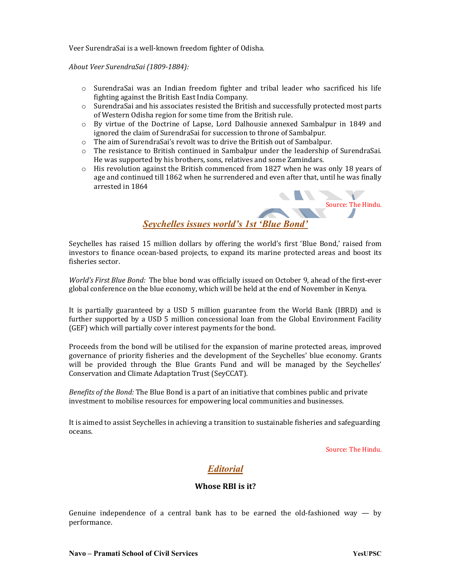Veer SurendraSai is a well-known freedom fighter of Odisha.

About Veer SurendraSai (1809-1884):

- o SurendraSai was an Indian freedom fighter and tribal leader who sacrificed his life fighting against the British East India Company.
- o SurendraSai and his associates resisted the British and successfully protected most parts of Western Odisha region for some time from the British rule.
- o By virtue of the Doctrine of Lapse, Lord Dalhousie annexed Sambalpur in 1849 and ignored the claim of SurendraSai for succession to throne of Sambalpur.
- o The aim of SurendraSai's revolt was to drive the British out of Sambalpur.
- o The resistance to British continued in Sambalpur under the leadership of SurendraSai. He was supported by his brothers, sons, relatives and some Zamindars.
- $\circ$  His revolution against the British commenced from 1827 when he was only 18 years of age and continued till 1862 when he surrendered and even after that, until he was finally arrested in 1864



Seychelles has raised 15 million dollars by offering the world's first 'Blue Bond,' raised from investors to finance ocean-based projects, to expand its marine protected areas and boost its fisheries sector.

World's First Blue Bond: The blue bond was officially issued on October 9, ahead of the first-ever global conference on the blue economy, which will be held at the end of November in Kenya.

It is partially guaranteed by a USD 5 million guarantee from the World Bank (IBRD) and is further supported by a USD 5 million concessional loan from the Global Environment Facility (GEF) which will partially cover interest payments for the bond.

Proceeds from the bond will be utilised for the expansion of marine protected areas, improved governance of priority fisheries and the development of the Seychelles' blue economy. Grants will be provided through the Blue Grants Fund and will be managed by the Seychelles' Conservation and Climate Adaptation Trust (SeyCCAT).

Benefits of the Bond: The Blue Bond is a part of an initiative that combines public and private investment to mobilise resources for empowering local communities and businesses.

It is aimed to assist Seychelles in achieving a transition to sustainable fisheries and safeguarding oceans.

Source: The Hindu.

## Editorial

#### Whose RBI is it?

Genuine independence of a central bank has to be earned the old-fashioned way  $-$  by performance.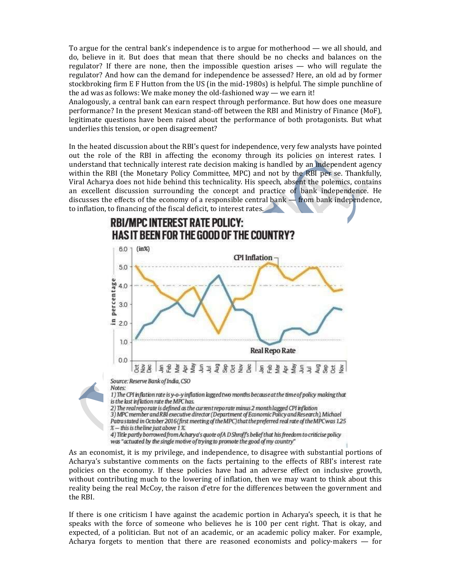To argue for the central bank's independence is to argue for motherhood — we all should, and do, believe in it. But does that mean that there should be no checks and balances on the regulator? If there are none, then the impossible question arises — who will regulate the regulator? And how can the demand for independence be assessed? Here, an old ad by former stockbroking firm E F Hutton from the US (in the mid-1980s) is helpful. The simple punchline of the ad was as follows: We make money the old-fashioned way — we earn it!

Analogously, a central bank can earn respect through performance. But how does one measure performance? In the present Mexican stand-off between the RBI and Ministry of Finance (MoF), legitimate questions have been raised about the performance of both protagonists. But what underlies this tension, or open disagreement?

In the heated discussion about the RBI's quest for independence, very few analysts have pointed out the role of the RBI in affecting the economy through its policies on interest rates. I understand that technically interest rate decision making is handled by an independent agency within the RBI (the Monetary Policy Committee, MPC) and not by the RBI per se. Thankfully, Viral Acharya does not hide behind this technicality. His speech, absent the polemics, contains an excellent discussion surrounding the concept and practice of bank independence. He discusses the effects of the economy of a responsible central bank  $-$  from bank independence, to inflation, to financing of the fiscal deficit, to interest rates.



As an economist, it is my privilege, and independence, to disagree with substantial portions of Acharya's substantive comments on the facts pertaining to the effects of RBI's interest rate policies on the economy. If these policies have had an adverse effect on inclusive growth, without contributing much to the lowering of inflation, then we may want to think about this reality being the real McCoy, the raison d'etre for the differences between the government and the RBI.

If there is one criticism I have against the academic portion in Acharya's speech, it is that he speaks with the force of someone who believes he is 100 per cent right. That is okay, and expected, of a politician. But not of an academic, or an academic policy maker. For example, Acharya forgets to mention that there are reasoned economists and policy-makers — for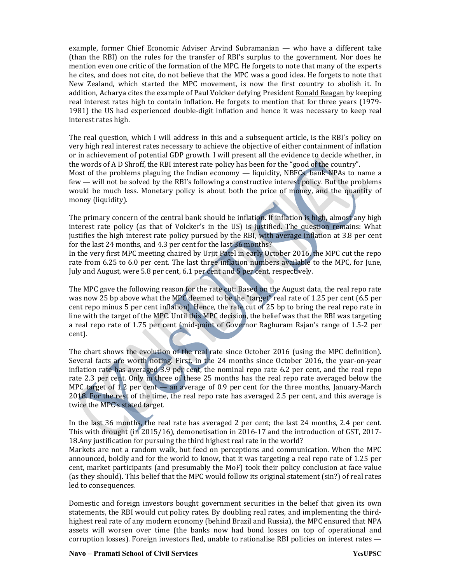example, former Chief Economic Adviser Arvind Subramanian — who have a different take (than the RBI) on the rules for the transfer of RBI's surplus to the government. Nor does he mention even one critic of the formation of the MPC. He forgets to note that many of the experts he cites, and does not cite, do not believe that the MPC was a good idea. He forgets to note that New Zealand, which started the MPC movement, is now the first country to abolish it. In addition, Acharya cites the example of Paul Volcker defying President Ronald Reagan by keeping real interest rates high to contain inflation. He forgets to mention that for three years (1979- 1981) the US had experienced double-digit inflation and hence it was necessary to keep real interest rates high.

The real question, which I will address in this and a subsequent article, is the RBI's policy on very high real interest rates necessary to achieve the objective of either containment of inflation or in achievement of potential GDP growth. I will present all the evidence to decide whether, in the words of A D Shroff, the RBI interest rate policy has been for the "good of the country". Most of the problems plaguing the Indian economy — liquidity, NBFCs, bank NPAs to name a few — will not be solved by the RBI's following a constructive interest policy. But the problems would be much less. Monetary policy is about both the price of money, and the quantity of money (liquidity).

The primary concern of the central bank should be inflation. If inflation is high, almost any high interest rate policy (as that of Volcker's in the US) is justified. The question remains: What justifies the high interest rate policy pursued by the RBI, with average inflation at 3.8 per cent for the last 24 months, and 4.3 per cent for the last 36 months?

In the very first MPC meeting chaired by Urjit Patel in early October 2016, the MPC cut the repo rate from 6.25 to 6.0 per cent. The last three inflation numbers available to the MPC, for June, July and August, were 5.8 per cent, 6.1 per cent and 5 per cent, respectively.

The MPC gave the following reason for the rate cut: Based on the August data, the real repo rate was now 25 bp above what the MPC deemed to be the "target" real rate of 1.25 per cent (6.5 per cent repo minus 5 per cent inflation). Hence, the rate cut of 25 bp to bring the real repo rate in line with the target of the MPC. Until this MPC decision, the belief was that the RBI was targeting a real repo rate of 1.75 per cent (mid-point of Governor Raghuram Rajan's range of 1.5-2 per cent).

The chart shows the evolution of the real rate since October 2016 (using the MPC definition). Several facts are worth noting. First, in the 24 months since October 2016, the year-on-year inflation rate has averaged 3.9 per cent, the nominal repo rate 6.2 per cent, and the real repo rate 2.3 per cent. Only in three of these 25 months has the real repo rate averaged below the MPC target of 1.2 per cent — an average of 0.9 per cent for the three months, January-March 2018. For the rest of the time, the real repo rate has averaged 2.5 per cent, and this average is twice the MPC's stated target.

In the last 36 months, the real rate has averaged 2 per cent; the last 24 months, 2.4 per cent. This with drought (in 2015/16), demonetisation in 2016-17 and the introduction of GST, 2017- 18.Any justification for pursuing the third highest real rate in the world?

Markets are not a random walk, but feed on perceptions and communication. When the MPC announced, boldly and for the world to know, that it was targeting a real repo rate of 1.25 per cent, market participants (and presumably the MoF) took their policy conclusion at face value (as they should). This belief that the MPC would follow its original statement (sin?) of real rates led to consequences.

Domestic and foreign investors bought government securities in the belief that given its own statements, the RBI would cut policy rates. By doubling real rates, and implementing the thirdhighest real rate of any modern economy (behind Brazil and Russia), the MPC ensured that NPA assets will worsen over time (the banks now had bond losses on top of operational and corruption losses). Foreign investors fled, unable to rationalise RBI policies on interest rates —